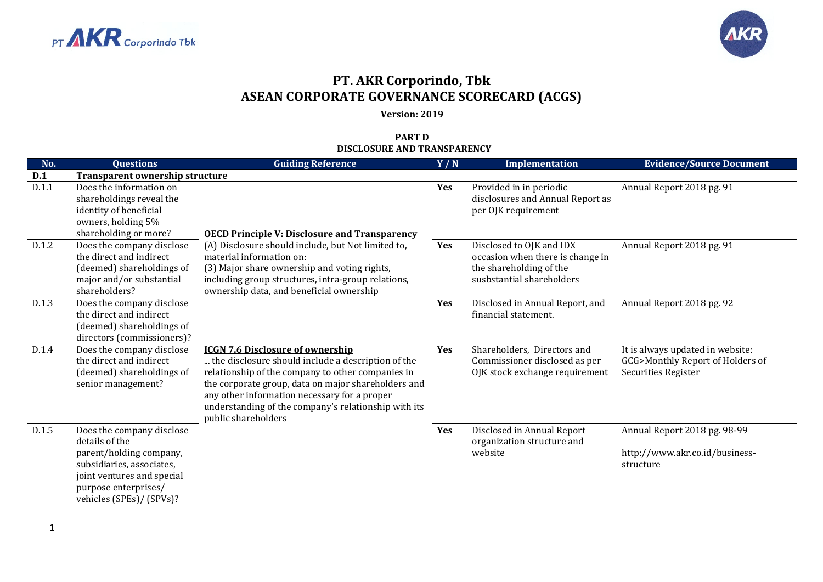



## **PT. AKR Corporindo, Tbk ASEAN CORPORATE GOVERNANCE SCORECARD (ACGS)**

## **Version: 2019**

## **PART D DISCLOSURE AND TRANSPARENCY**

| No.   | <b>Questions</b>                                                                                                                                                                      | <b>Guiding Reference</b>                                                                                                                                                                                                                                                                                                                 | Y/N | Implementation                                                                                                       | <b>Evidence/Source Document</b>                                                             |
|-------|---------------------------------------------------------------------------------------------------------------------------------------------------------------------------------------|------------------------------------------------------------------------------------------------------------------------------------------------------------------------------------------------------------------------------------------------------------------------------------------------------------------------------------------|-----|----------------------------------------------------------------------------------------------------------------------|---------------------------------------------------------------------------------------------|
| D.1   | Transparent ownership structure                                                                                                                                                       |                                                                                                                                                                                                                                                                                                                                          |     |                                                                                                                      |                                                                                             |
| D.1.1 | Does the information on<br>shareholdings reveal the<br>identity of beneficial<br>owners, holding 5%<br>shareholding or more?                                                          | <b>OECD Principle V: Disclosure and Transparency</b>                                                                                                                                                                                                                                                                                     | Yes | Provided in in periodic<br>disclosures and Annual Report as<br>per OJK requirement                                   | Annual Report 2018 pg. 91                                                                   |
| D.1.2 | Does the company disclose<br>the direct and indirect<br>(deemed) shareholdings of<br>major and/or substantial<br>shareholders?                                                        | (A) Disclosure should include, but Not limited to,<br>material information on:<br>(3) Major share ownership and voting rights,<br>including group structures, intra-group relations,<br>ownership data, and beneficial ownership                                                                                                         | Yes | Disclosed to OJK and IDX<br>occasion when there is change in<br>the shareholding of the<br>susbstantial shareholders | Annual Report 2018 pg. 91                                                                   |
| D.1.3 | Does the company disclose<br>the direct and indirect<br>(deemed) shareholdings of<br>directors (commissioners)?                                                                       |                                                                                                                                                                                                                                                                                                                                          | Yes | Disclosed in Annual Report, and<br>financial statement.                                                              | Annual Report 2018 pg. 92                                                                   |
| D.1.4 | Does the company disclose<br>the direct and indirect<br>(deemed) shareholdings of<br>senior management?                                                                               | <b>ICGN 7.6 Disclosure of ownership</b><br>the disclosure should include a description of the<br>relationship of the company to other companies in<br>the corporate group, data on major shareholders and<br>any other information necessary for a proper<br>understanding of the company's relationship with its<br>public shareholders | Yes | Shareholders, Directors and<br>Commissioner disclosed as per<br>OJK stock exchange requirement                       | It is always updated in website:<br>GCG>Monthly Report of Holders of<br>Securities Register |
| D.1.5 | Does the company disclose<br>details of the<br>parent/holding company,<br>subsidiaries, associates,<br>joint ventures and special<br>purpose enterprises/<br>vehicles (SPEs)/ (SPVs)? |                                                                                                                                                                                                                                                                                                                                          | Yes | Disclosed in Annual Report<br>organization structure and<br>website                                                  | Annual Report 2018 pg. 98-99<br>http://www.akr.co.id/business-<br>structure                 |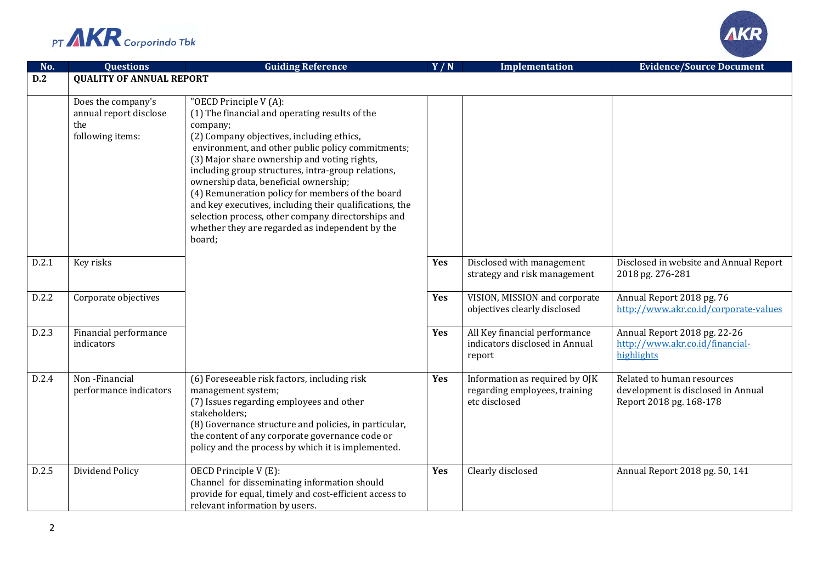



| No.   | <b>Questions</b>                                                        | <b>Guiding Reference</b>                                                                                                                                                                                                                                                                                                                                                                                                                                                                                                                                                | Y/N        | <b>Implementation</b>                                                            | <b>Evidence/Source Document</b>                                                             |
|-------|-------------------------------------------------------------------------|-------------------------------------------------------------------------------------------------------------------------------------------------------------------------------------------------------------------------------------------------------------------------------------------------------------------------------------------------------------------------------------------------------------------------------------------------------------------------------------------------------------------------------------------------------------------------|------------|----------------------------------------------------------------------------------|---------------------------------------------------------------------------------------------|
| D.2   | <b>QUALITY OF ANNUAL REPORT</b>                                         |                                                                                                                                                                                                                                                                                                                                                                                                                                                                                                                                                                         |            |                                                                                  |                                                                                             |
|       | Does the company's<br>annual report disclose<br>the<br>following items: | "OECD Principle V (A):<br>(1) The financial and operating results of the<br>company;<br>(2) Company objectives, including ethics,<br>environment, and other public policy commitments;<br>(3) Major share ownership and voting rights,<br>including group structures, intra-group relations,<br>ownership data, beneficial ownership;<br>(4) Remuneration policy for members of the board<br>and key executives, including their qualifications, the<br>selection process, other company directorships and<br>whether they are regarded as independent by the<br>board; |            |                                                                                  |                                                                                             |
| D.2.1 | Key risks                                                               |                                                                                                                                                                                                                                                                                                                                                                                                                                                                                                                                                                         | Yes        | Disclosed with management<br>strategy and risk management                        | Disclosed in website and Annual Report<br>2018 pg. 276-281                                  |
| D.2.2 | Corporate objectives                                                    |                                                                                                                                                                                                                                                                                                                                                                                                                                                                                                                                                                         | Yes        | VISION, MISSION and corporate<br>objectives clearly disclosed                    | Annual Report 2018 pg. 76<br>http://www.akr.co.id/corporate-values                          |
| D.2.3 | Financial performance<br>indicators                                     |                                                                                                                                                                                                                                                                                                                                                                                                                                                                                                                                                                         | <b>Yes</b> | All Key financial performance<br>indicators disclosed in Annual<br>report        | Annual Report 2018 pg. 22-26<br>http://www.akr.co.id/financial-<br>highlights               |
| D.2.4 | Non-Financial<br>performance indicators                                 | (6) Foreseeable risk factors, including risk<br>management system;<br>(7) Issues regarding employees and other<br>stakeholders;<br>(8) Governance structure and policies, in particular,<br>the content of any corporate governance code or<br>policy and the process by which it is implemented.                                                                                                                                                                                                                                                                       | <b>Yes</b> | Information as required by OJK<br>regarding employees, training<br>etc disclosed | Related to human resources<br>development is disclosed in Annual<br>Report 2018 pg. 168-178 |
| D.2.5 | Dividend Policy                                                         | OECD Principle V (E):<br>Channel for disseminating information should<br>provide for equal, timely and cost-efficient access to<br>relevant information by users.                                                                                                                                                                                                                                                                                                                                                                                                       | <b>Yes</b> | Clearly disclosed                                                                | Annual Report 2018 pg. 50, 141                                                              |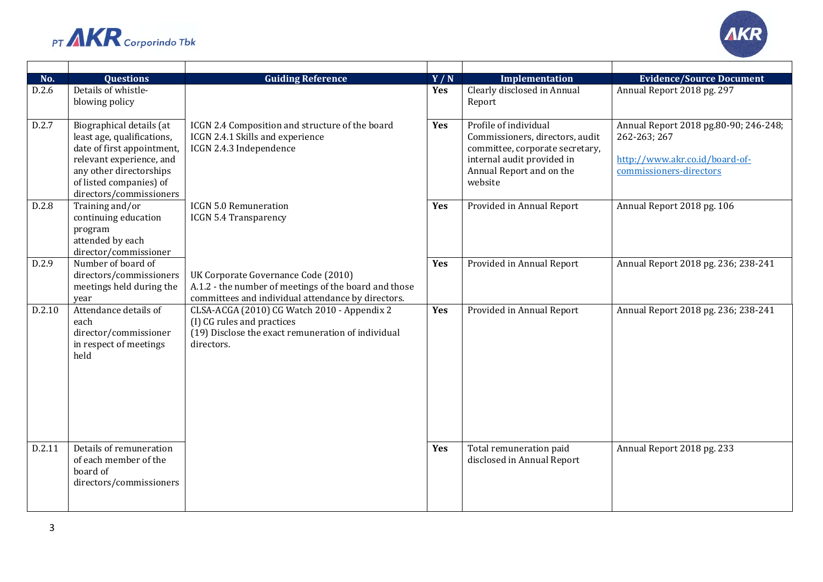



| No.<br>D.2.6 | <b>Questions</b><br>Details of whistle-             | <b>Guiding Reference</b>                                                                          | Y/N<br>Yes | Implementation<br>Clearly disclosed in Annual          | <b>Evidence/Source Document</b><br>Annual Report 2018 pg. 297 |
|--------------|-----------------------------------------------------|---------------------------------------------------------------------------------------------------|------------|--------------------------------------------------------|---------------------------------------------------------------|
|              | blowing policy                                      |                                                                                                   |            | Report                                                 |                                                               |
|              |                                                     |                                                                                                   |            |                                                        |                                                               |
| D.2.7        | Biographical details (at                            | ICGN 2.4 Composition and structure of the board                                                   | Yes        | Profile of individual                                  | Annual Report 2018 pg.80-90; 246-248;                         |
|              | least age, qualifications,                          | ICGN 2.4.1 Skills and experience                                                                  |            | Commissioners, directors, audit                        | 262-263; 267                                                  |
|              | date of first appointment,                          | ICGN 2.4.3 Independence                                                                           |            | committee, corporate secretary,                        | http://www.akr.co.id/board-of-                                |
|              | relevant experience, and<br>any other directorships |                                                                                                   |            | internal audit provided in<br>Annual Report and on the | commissioners-directors                                       |
|              | of listed companies) of                             |                                                                                                   |            | website                                                |                                                               |
|              | directors/commissioners                             |                                                                                                   |            |                                                        |                                                               |
| D.2.8        | Training and/or                                     | <b>ICGN 5.0 Remuneration</b>                                                                      | Yes        | Provided in Annual Report                              | Annual Report 2018 pg. 106                                    |
|              | continuing education                                | <b>ICGN 5.4 Transparency</b>                                                                      |            |                                                        |                                                               |
|              | program<br>attended by each                         |                                                                                                   |            |                                                        |                                                               |
|              | director/commissioner                               |                                                                                                   |            |                                                        |                                                               |
| D.2.9        | Number of board of                                  |                                                                                                   | Yes        | Provided in Annual Report                              | Annual Report 2018 pg. 236; 238-241                           |
|              | directors/commissioners                             | UK Corporate Governance Code (2010)                                                               |            |                                                        |                                                               |
|              | meetings held during the                            | A.1.2 - the number of meetings of the board and those                                             |            |                                                        |                                                               |
| D.2.10       | year<br>Attendance details of                       | committees and individual attendance by directors.<br>CLSA-ACGA (2010) CG Watch 2010 - Appendix 2 | Yes        | Provided in Annual Report                              | Annual Report 2018 pg. 236; 238-241                           |
|              | each                                                | (I) CG rules and practices                                                                        |            |                                                        |                                                               |
|              | director/commissioner                               | (19) Disclose the exact remuneration of individual                                                |            |                                                        |                                                               |
|              | in respect of meetings                              | directors.                                                                                        |            |                                                        |                                                               |
|              | held                                                |                                                                                                   |            |                                                        |                                                               |
|              |                                                     |                                                                                                   |            |                                                        |                                                               |
|              |                                                     |                                                                                                   |            |                                                        |                                                               |
|              |                                                     |                                                                                                   |            |                                                        |                                                               |
|              |                                                     |                                                                                                   |            |                                                        |                                                               |
|              |                                                     |                                                                                                   |            |                                                        |                                                               |
|              | Details of remuneration                             |                                                                                                   |            |                                                        |                                                               |
| D.2.11       | of each member of the                               |                                                                                                   | Yes        | Total remuneration paid<br>disclosed in Annual Report  | Annual Report 2018 pg. 233                                    |
|              | board of                                            |                                                                                                   |            |                                                        |                                                               |
|              | directors/commissioners                             |                                                                                                   |            |                                                        |                                                               |
|              |                                                     |                                                                                                   |            |                                                        |                                                               |
|              |                                                     |                                                                                                   |            |                                                        |                                                               |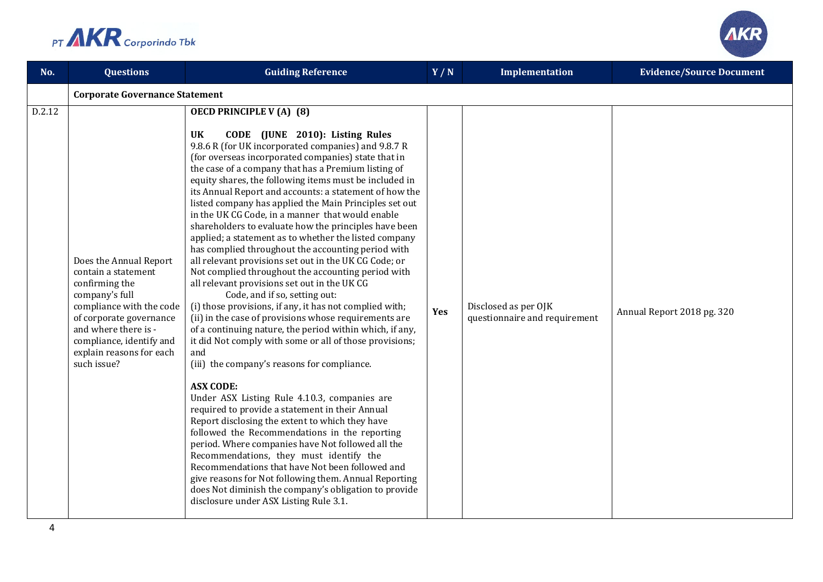

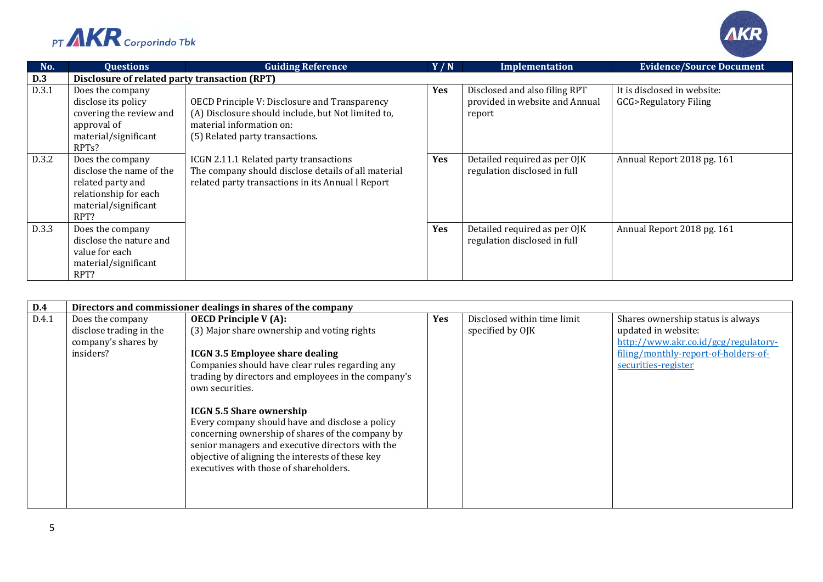



| No.   | Questions                                                                                                                       | <b>Guiding Reference</b>                                                                                                                                           | Y/N        | Implementation                                                            | <b>Evidence/Source Document</b>                                |
|-------|---------------------------------------------------------------------------------------------------------------------------------|--------------------------------------------------------------------------------------------------------------------------------------------------------------------|------------|---------------------------------------------------------------------------|----------------------------------------------------------------|
| D.3   | Disclosure of related party transaction (RPT)                                                                                   |                                                                                                                                                                    |            |                                                                           |                                                                |
| D.3.1 | Does the company<br>disclose its policy<br>covering the review and<br>approval of<br>material/significant<br>RPT <sub>s</sub> ? | OECD Principle V: Disclosure and Transparency<br>(A) Disclosure should include, but Not limited to,<br>material information on:<br>(5) Related party transactions. | <b>Yes</b> | Disclosed and also filing RPT<br>provided in website and Annual<br>report | It is disclosed in website:<br><b>GCG&gt;Regulatory Filing</b> |
| D.3.2 | Does the company<br>disclose the name of the<br>related party and<br>relationship for each<br>material/significant<br>RPT?      | ICGN 2.11.1 Related party transactions<br>The company should disclose details of all material<br>related party transactions in its Annual l Report                 | <b>Yes</b> | Detailed required as per OJK<br>regulation disclosed in full              | Annual Report 2018 pg. 161                                     |
| D.3.3 | Does the company<br>disclose the nature and<br>value for each<br>material/significant<br>RPT?                                   |                                                                                                                                                                    | Yes        | Detailed required as per OJK<br>regulation disclosed in full              | Annual Report 2018 pg. 161                                     |

| D.4   | Directors and commissioner dealings in shares of the company                    |                                                                                                                                                                                                                                                                                                                                                                                                                                                                                                                                                |            |                                                 |                                                                                                                                                                 |  |  |
|-------|---------------------------------------------------------------------------------|------------------------------------------------------------------------------------------------------------------------------------------------------------------------------------------------------------------------------------------------------------------------------------------------------------------------------------------------------------------------------------------------------------------------------------------------------------------------------------------------------------------------------------------------|------------|-------------------------------------------------|-----------------------------------------------------------------------------------------------------------------------------------------------------------------|--|--|
| D.4.1 | Does the company<br>disclose trading in the<br>company's shares by<br>insiders? | <b>OECD Principle V (A):</b><br>(3) Major share ownership and voting rights<br><b>ICGN 3.5 Employee share dealing</b><br>Companies should have clear rules regarding any<br>trading by directors and employees in the company's<br>own securities.<br><b>ICGN 5.5 Share ownership</b><br>Every company should have and disclose a policy<br>concerning ownership of shares of the company by<br>senior managers and executive directors with the<br>objective of aligning the interests of these key<br>executives with those of shareholders. | <b>Yes</b> | Disclosed within time limit<br>specified by OJK | Shares ownership status is always<br>updated in website:<br>http://www.akr.co.id/gcg/regulatory-<br>filing/monthly-report-of-holders-of-<br>securities-register |  |  |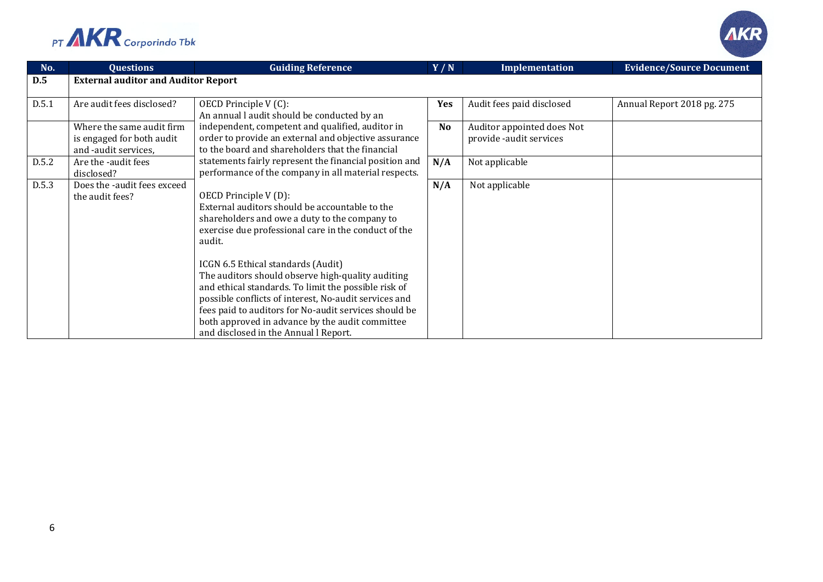



| No.   | <b>Questions</b>                                                               | <b>Guiding Reference</b>                                                                                                                                                                                                                                                                                                                                                                                                                                                                                                                                   | Y/N            | Implementation                                        | <b>Evidence/Source Document</b> |
|-------|--------------------------------------------------------------------------------|------------------------------------------------------------------------------------------------------------------------------------------------------------------------------------------------------------------------------------------------------------------------------------------------------------------------------------------------------------------------------------------------------------------------------------------------------------------------------------------------------------------------------------------------------------|----------------|-------------------------------------------------------|---------------------------------|
| D.5   | <b>External auditor and Auditor Report</b>                                     |                                                                                                                                                                                                                                                                                                                                                                                                                                                                                                                                                            |                |                                                       |                                 |
| D.5.1 | Are audit fees disclosed?                                                      | OECD Principle V (C):<br>An annual l audit should be conducted by an                                                                                                                                                                                                                                                                                                                                                                                                                                                                                       | Yes            | Audit fees paid disclosed                             | Annual Report 2018 pg. 275      |
|       | Where the same audit firm<br>is engaged for both audit<br>and -audit services, | independent, competent and qualified, auditor in<br>order to provide an external and objective assurance<br>to the board and shareholders that the financial                                                                                                                                                                                                                                                                                                                                                                                               | N <sub>o</sub> | Auditor appointed does Not<br>provide -audit services |                                 |
| D.5.2 | Are the -audit fees<br>disclosed?                                              | statements fairly represent the financial position and<br>performance of the company in all material respects.                                                                                                                                                                                                                                                                                                                                                                                                                                             | N/A            | Not applicable                                        |                                 |
| D.5.3 | Does the -audit fees exceed<br>the audit fees?                                 | OECD Principle V(D):<br>External auditors should be accountable to the<br>shareholders and owe a duty to the company to<br>exercise due professional care in the conduct of the<br>audit.<br>ICGN 6.5 Ethical standards (Audit)<br>The auditors should observe high-quality auditing<br>and ethical standards. To limit the possible risk of<br>possible conflicts of interest, No-audit services and<br>fees paid to auditors for No-audit services should be<br>both approved in advance by the audit committee<br>and disclosed in the Annual l Report. | N/A            | Not applicable                                        |                                 |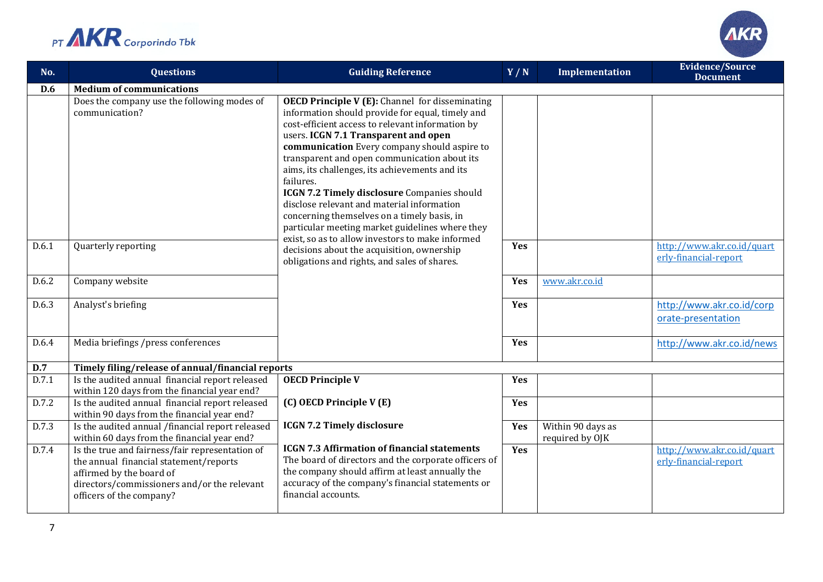



| No.   | <b>Questions</b>                                                                                                                                                                                 | <b>Guiding Reference</b>                                                                                                                                                                                                                                                                                                                                                                                                                                                                                                                                             | Y/N | <b>Implementation</b>                | <b>Evidence/Source</b><br><b>Document</b>           |
|-------|--------------------------------------------------------------------------------------------------------------------------------------------------------------------------------------------------|----------------------------------------------------------------------------------------------------------------------------------------------------------------------------------------------------------------------------------------------------------------------------------------------------------------------------------------------------------------------------------------------------------------------------------------------------------------------------------------------------------------------------------------------------------------------|-----|--------------------------------------|-----------------------------------------------------|
| D.6   | <b>Medium of communications</b>                                                                                                                                                                  |                                                                                                                                                                                                                                                                                                                                                                                                                                                                                                                                                                      |     |                                      |                                                     |
|       | Does the company use the following modes of<br>communication?                                                                                                                                    | <b>OECD Principle V (E):</b> Channel for disseminating<br>information should provide for equal, timely and<br>cost-efficient access to relevant information by<br>users. ICGN 7.1 Transparent and open<br>communication Every company should aspire to<br>transparent and open communication about its<br>aims, its challenges, its achievements and its<br>failures.<br>ICGN 7.2 Timely disclosure Companies should<br>disclose relevant and material information<br>concerning themselves on a timely basis, in<br>particular meeting market guidelines where they |     |                                      |                                                     |
| D.6.1 | Quarterly reporting                                                                                                                                                                              | exist, so as to allow investors to make informed<br>decisions about the acquisition, ownership<br>obligations and rights, and sales of shares.                                                                                                                                                                                                                                                                                                                                                                                                                       | Yes |                                      | http://www.akr.co.id/quart<br>erly-financial-report |
| D.6.2 | Company website                                                                                                                                                                                  |                                                                                                                                                                                                                                                                                                                                                                                                                                                                                                                                                                      | Yes | www.akr.co.id                        |                                                     |
| D.6.3 | Analyst's briefing                                                                                                                                                                               |                                                                                                                                                                                                                                                                                                                                                                                                                                                                                                                                                                      | Yes |                                      | http://www.akr.co.id/corp<br>orate-presentation     |
| D.6.4 | Media briefings /press conferences                                                                                                                                                               |                                                                                                                                                                                                                                                                                                                                                                                                                                                                                                                                                                      | Yes |                                      | http://www.akr.co.id/news                           |
| D.7   | Timely filing/release of annual/financial reports                                                                                                                                                |                                                                                                                                                                                                                                                                                                                                                                                                                                                                                                                                                                      |     |                                      |                                                     |
| D.7.1 | Is the audited annual financial report released<br>within 120 days from the financial year end?                                                                                                  | <b>OECD Principle V</b>                                                                                                                                                                                                                                                                                                                                                                                                                                                                                                                                              | Yes |                                      |                                                     |
| D.7.2 | Is the audited annual financial report released<br>within 90 days from the financial year end?                                                                                                   | (C) OECD Principle V (E)                                                                                                                                                                                                                                                                                                                                                                                                                                                                                                                                             | Yes |                                      |                                                     |
| D.7.3 | Is the audited annual /financial report released<br>within 60 days from the financial year end?                                                                                                  | <b>ICGN 7.2 Timely disclosure</b>                                                                                                                                                                                                                                                                                                                                                                                                                                                                                                                                    | Yes | Within 90 days as<br>required by OJK |                                                     |
| D.7.4 | Is the true and fairness/fair representation of<br>the annual financial statement/reports<br>affirmed by the board of<br>directors/commissioners and/or the relevant<br>officers of the company? | <b>ICGN 7.3 Affirmation of financial statements</b><br>The board of directors and the corporate officers of<br>the company should affirm at least annually the<br>accuracy of the company's financial statements or<br>financial accounts.                                                                                                                                                                                                                                                                                                                           | Yes |                                      | http://www.akr.co.id/quart<br>erly-financial-report |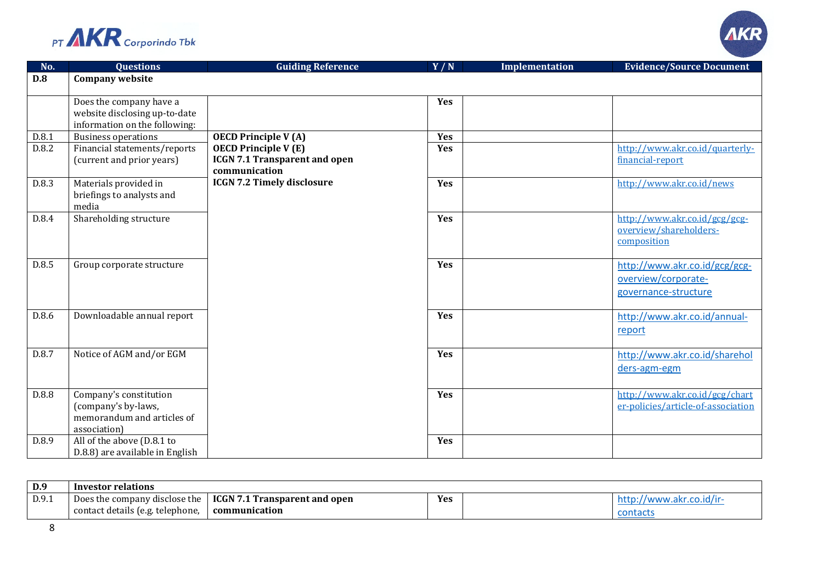



| No.   | <b>Questions</b>                                               | <b>Guiding Reference</b>             | Y/N | <b>Implementation</b> | <b>Evidence/Source Document</b>    |
|-------|----------------------------------------------------------------|--------------------------------------|-----|-----------------------|------------------------------------|
| D.8   | <b>Company website</b>                                         |                                      |     |                       |                                    |
|       |                                                                |                                      |     |                       |                                    |
|       | Does the company have a                                        |                                      | Yes |                       |                                    |
|       | website disclosing up-to-date<br>information on the following: |                                      |     |                       |                                    |
| D.8.1 | <b>Business operations</b>                                     | <b>OECD Principle V(A)</b>           | Yes |                       |                                    |
| D.8.2 | Financial statements/reports                                   | <b>OECD Principle V(E)</b>           | Yes |                       | http://www.akr.co.id/quarterly-    |
|       | (current and prior years)                                      | <b>ICGN 7.1 Transparent and open</b> |     |                       | financial-report                   |
|       |                                                                | communication                        |     |                       |                                    |
| D.8.3 | Materials provided in                                          | <b>ICGN 7.2 Timely disclosure</b>    | Yes |                       | http://www.akr.co.id/news          |
|       | briefings to analysts and                                      |                                      |     |                       |                                    |
|       | media                                                          |                                      |     |                       |                                    |
| D.8.4 | Shareholding structure                                         |                                      | Yes |                       | http://www.akr.co.id/gcg/gcg-      |
|       |                                                                |                                      |     |                       | overview/shareholders-             |
|       |                                                                |                                      |     |                       | composition                        |
| D.8.5 | Group corporate structure                                      |                                      | Yes |                       | http://www.akr.co.id/gcg/gcg-      |
|       |                                                                |                                      |     |                       |                                    |
|       |                                                                |                                      |     |                       | overview/corporate-                |
|       |                                                                |                                      |     |                       | governance-structure               |
| D.8.6 | Downloadable annual report                                     |                                      | Yes |                       | http://www.akr.co.id/annual-       |
|       |                                                                |                                      |     |                       |                                    |
|       |                                                                |                                      |     |                       | report                             |
| D.8.7 | Notice of AGM and/or EGM                                       |                                      | Yes |                       | http://www.akr.co.id/sharehol      |
|       |                                                                |                                      |     |                       | ders-agm-egm                       |
|       |                                                                |                                      |     |                       |                                    |
| D.8.8 | Company's constitution                                         |                                      | Yes |                       | http://www.akr.co.id/gcg/chart     |
|       | (company's by-laws,                                            |                                      |     |                       | er-policies/article-of-association |
|       | memorandum and articles of                                     |                                      |     |                       |                                    |
|       | association)                                                   |                                      |     |                       |                                    |
| D.8.9 | All of the above (D.8.1 to                                     |                                      | Yes |                       |                                    |
|       | D.8.8) are available in English                                |                                      |     |                       |                                    |

| D.9   | Investor relations                            |                                   |     |  |  |
|-------|-----------------------------------------------|-----------------------------------|-----|--|--|
| D.9.1 | <sup>,</sup> disclose the<br>Does the company | .1 Transparent and open<br>ICGN 7 | Yes |  |  |
|       | contact details (e.g. telephone,              | communication                     |     |  |  |